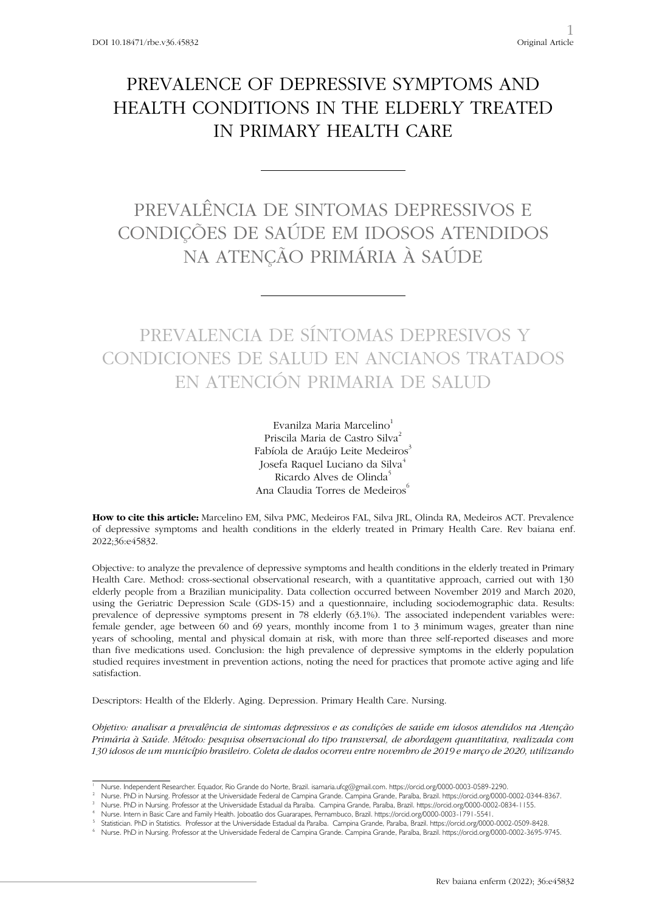# PREVALENCE OF DEPRESSIVE SYMPTOMS AND HEALTH CONDITIONS IN THE ELDERLY TREATED IN PRIMARY HEALTH CARE

# PREVALÊNCIA DE SINTOMAS DEPRESSIVOS E CONDIÇÕES DE SAÚDE EM IDOSOS ATENDIDOS NA ATENÇÃO PRIMÁRIA À SAÚDE

# PREVALENCIA DE SÍNTOMAS DEPRESIVOS Y CONDICIONES DE SALUD EN ANCIANOS TRATADOS EN ATENCIÓN PRIMARIA DE SALUD

Evanilza Maria Marcelino<sup>1</sup> Priscila Maria de Castro Silva<sup>2</sup> Fabíola de Araújo Leite Medeiros<sup>3</sup> Josefa Raquel Luciano da Silva<sup>4</sup> Ricardo Alves de Olinda<sup>5</sup> Ana Claudia Torres de Medeiros<sup>6</sup>

**How to cite this article:** Marcelino EM, Silva PMC, Medeiros FAL, Silva JRL, Olinda RA, Medeiros ACT. Prevalence of depressive symptoms and health conditions in the elderly treated in Primary Health Care. Rev baiana enf. 2022;36:e45832.

Objective: to analyze the prevalence of depressive symptoms and health conditions in the elderly treated in Primary Health Care. Method: cross-sectional observational research, with a quantitative approach, carried out with 130 elderly people from a Brazilian municipality. Data collection occurred between November 2019 and March 2020, using the Geriatric Depression Scale (GDS-15) and a questionnaire, including sociodemographic data. Results: prevalence of depressive symptoms present in 78 elderly (63.1%). The associated independent variables were: female gender, age between 60 and 69 years, monthly income from 1 to 3 minimum wages, greater than nine years of schooling, mental and physical domain at risk, with more than three self-reported diseases and more than five medications used. Conclusion: the high prevalence of depressive symptoms in the elderly population studied requires investment in prevention actions, noting the need for practices that promote active aging and life satisfaction.

Descriptors: Health of the Elderly. Aging. Depression. Primary Health Care. Nursing.

*Objetivo: analisar a prevalência de sintomas depressivos e as condições de saúde em idosos atendidos na Atenção Primária à Saúde. Método: pesquisa observacional do tipo transversal, de abordagem quantitativa, realizada com 130 idosos de um município brasileiro. Coleta de dados ocorreu entre novembro de 2019 e março de 2020, utilizando* 

Nurse. Independent Researcher. Equador, Rio Grande do Norte, Brazil. isamaria.ufcg@gmail.com. https://orcid.org/0000-0003-0589-2290.<br>Nurse. PhD in Nursing. Professor at the Universidade Federal de Campina Grande. Campina G

Nurse. PhD in Nursing. Professor at the Universidade Estadual da Paraíba. Campina Grande, Paraíba, Brazil. https://orcid.org/0000-0002-0834-1155.<br>Nurse. Intern in Basic Care and Family Health. Joboatão dos Guararapes, Pern

Statistician. PhD in Statistics. Professor at the Universidade Estadual da Paraíba. Campina Grande, Paraíba, Brazil. https://orcid.org/0000-0002-0509-8428. <sup>6</sup> Nurse. PhD in Nursing. Professor at the Universidade Federal de Campina Grande. Campina Grande, Paraíba, Brazil. https://orcid.org/0000-0002-3695-9745.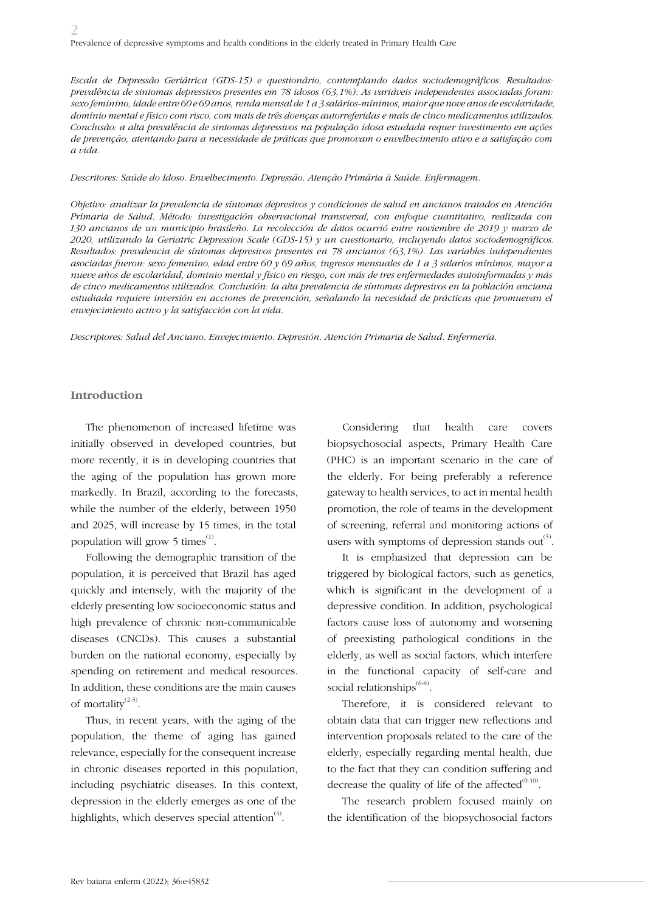*Escala de Depressão Geriátrica (GDS-15) e questionário, contemplando dados sociodemográficos. Resultados: prevalência de sintomas depressivos presentes em 78 idosos (63,1%). As variáveis independentes associadas foram: sexo feminino, idade entre 60 e 69 anos, renda mensal de 1 a 3 salários-mínimos, maior que nove anos de escolaridade, domínio mental e físico com risco, com mais de três doenças autorreferidas e mais de cinco medicamentos utilizados. Conclusão: a alta prevalência de sintomas depressivos na população idosa estudada requer investimento em ações de prevenção, atentando para a necessidade de práticas que promovam o envelhecimento ativo e a satisfação com a vida.*

*Descritores: Saúde do Idoso. Envelhecimento. Depressão. Atenção Primária à Saúde. Enfermagem.*

*Objetivo: analizar la prevalencia de síntomas depresivos y condiciones de salud en ancianos tratados en Atención Primaria de Salud. Método: investigación observacional transversal, con enfoque cuantitativo, realizada con 130 ancianos de un municipio brasileño. La recolección de datos ocurrió entre noviembre de 2019 y marzo de 2020, utilizando la Geriatric Depression Scale (GDS-15) y un cuestionario, incluyendo datos sociodemográficos. Resultados: prevalencia de síntomas depresivos presentes en 78 ancianos (63,1%). Las variables independientes asociadas fueron: sexo femenino, edad entre 60 y 69 años, ingresos mensuales de 1 a 3 salarios mínimos, mayor a nueve años de escolaridad, dominio mental y físico en riesgo, con más de tres enfermedades autoinformadas y más de cinco medicamentos utilizados. Conclusión: la alta prevalencia de síntomas depresivos en la población anciana*  estudiada requiere inversión en acciones de prevención, señalando la necesidad de prácticas que promuevan el *envejecimiento activo y la satisfacción con la vida.*

*Descriptores: Salud del Anciano. Envejecimiento. Depresión. Atención Primaria de Salud. Enfermería.*

#### **Introduction**

The phenomenon of increased lifetime was initially observed in developed countries, but more recently, it is in developing countries that the aging of the population has grown more markedly. In Brazil, according to the forecasts, while the number of the elderly, between 1950 and 2025, will increase by 15 times, in the total population will grow 5 times<sup>(1)</sup>.

Following the demographic transition of the population, it is perceived that Brazil has aged quickly and intensely, with the majority of the elderly presenting low socioeconomic status and high prevalence of chronic non-communicable diseases (CNCDs). This causes a substantial burden on the national economy, especially by spending on retirement and medical resources. In addition, these conditions are the main causes of mortality<sup>(2-3)</sup>.

Thus, in recent years, with the aging of the population, the theme of aging has gained relevance, especially for the consequent increase in chronic diseases reported in this population, including psychiatric diseases. In this context, depression in the elderly emerges as one of the highlights, which deserves special attention<sup> $(4)$ </sup>.

Considering that health care covers biopsychosocial aspects, Primary Health Care (PHC) is an important scenario in the care of the elderly. For being preferably a reference gateway to health services, to act in mental health promotion, the role of teams in the development of screening, referral and monitoring actions of users with symptoms of depression stands out<sup> $(5)$ </sup>.

It is emphasized that depression can be triggered by biological factors, such as genetics, which is significant in the development of a depressive condition. In addition, psychological factors cause loss of autonomy and worsening of preexisting pathological conditions in the elderly, as well as social factors, which interfere in the functional capacity of self-care and social relationships $^{(6-8)}$ .

Therefore, it is considered relevant to obtain data that can trigger new reflections and intervention proposals related to the care of the elderly, especially regarding mental health, due to the fact that they can condition suffering and decrease the quality of life of the affected $^{(9-10)}$ .

The research problem focused mainly on the identification of the biopsychosocial factors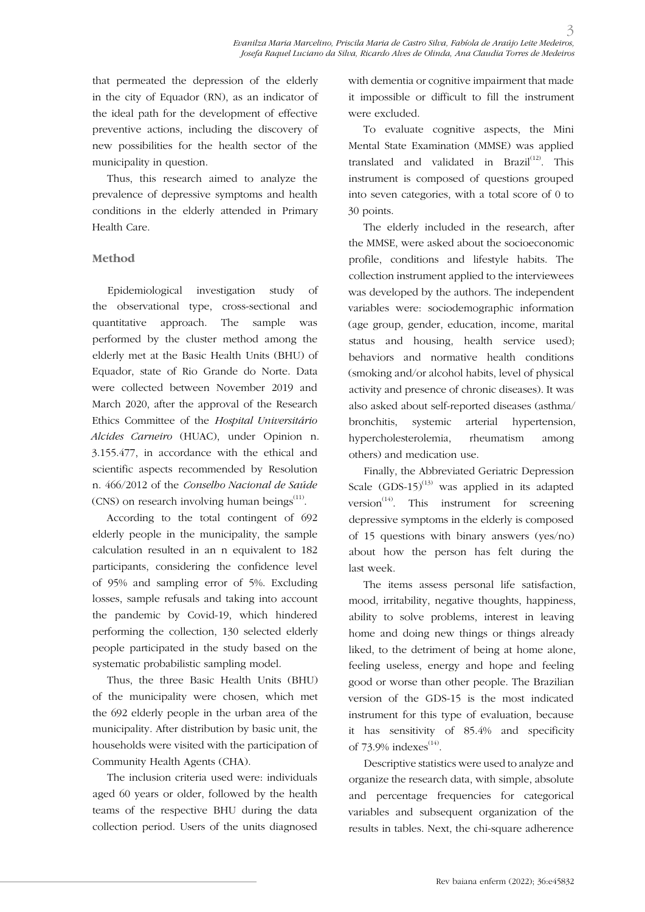that permeated the depression of the elderly in the city of Equador (RN), as an indicator of the ideal path for the development of effective preventive actions, including the discovery of new possibilities for the health sector of the municipality in question.

Thus, this research aimed to analyze the prevalence of depressive symptoms and health conditions in the elderly attended in Primary Health Care.

### **Method**

Epidemiological investigation study of the observational type, cross-sectional and quantitative approach. The sample was performed by the cluster method among the elderly met at the Basic Health Units (BHU) of Equador, state of Rio Grande do Norte. Data were collected between November 2019 and March 2020, after the approval of the Research Ethics Committee of the *Hospital Universitário Alcides Carneiro* (HUAC), under Opinion n. 3.155.477, in accordance with the ethical and scientific aspects recommended by Resolution n. 466/2012 of the *Conselho Nacional de Saúde* (CNS) on research involving human beings $^{(11)}$ .

According to the total contingent of 692 elderly people in the municipality, the sample calculation resulted in an n equivalent to 182 participants, considering the confidence level of 95% and sampling error of 5%. Excluding losses, sample refusals and taking into account the pandemic by Covid-19, which hindered performing the collection, 130 selected elderly people participated in the study based on the systematic probabilistic sampling model.

Thus, the three Basic Health Units (BHU) of the municipality were chosen, which met the 692 elderly people in the urban area of the municipality. After distribution by basic unit, the households were visited with the participation of Community Health Agents (CHA).

The inclusion criteria used were: individuals aged 60 years or older, followed by the health teams of the respective BHU during the data collection period. Users of the units diagnosed with dementia or cognitive impairment that made it impossible or difficult to fill the instrument were excluded.

To evaluate cognitive aspects, the Mini Mental State Examination (MMSE) was applied translated and validated in Brazil $^{(12)}$ . This instrument is composed of questions grouped into seven categories, with a total score of 0 to 30 points.

The elderly included in the research, after the MMSE, were asked about the socioeconomic profile, conditions and lifestyle habits. The collection instrument applied to the interviewees was developed by the authors. The independent variables were: sociodemographic information (age group, gender, education, income, marital status and housing, health service used); behaviors and normative health conditions (smoking and/or alcohol habits, level of physical activity and presence of chronic diseases). It was also asked about self-reported diseases (asthma/ bronchitis, systemic arterial hypertension, hypercholesterolemia, rheumatism among others) and medication use.

Finally, the Abbreviated Geriatric Depression Scale  $(GDS-15)^{(13)}$  was applied in its adapted version<sup> $(14)$ </sup>. This instrument for screening depressive symptoms in the elderly is composed of 15 questions with binary answers (yes/no) about how the person has felt during the last week.

The items assess personal life satisfaction, mood, irritability, negative thoughts, happiness, ability to solve problems, interest in leaving home and doing new things or things already liked, to the detriment of being at home alone, feeling useless, energy and hope and feeling good or worse than other people. The Brazilian version of the GDS-15 is the most indicated instrument for this type of evaluation, because it has sensitivity of 85.4% and specificity of  $73.9\%$  indexes<sup>(14)</sup>.

Descriptive statistics were used to analyze and organize the research data, with simple, absolute and percentage frequencies for categorical variables and subsequent organization of the results in tables. Next, the chi-square adherence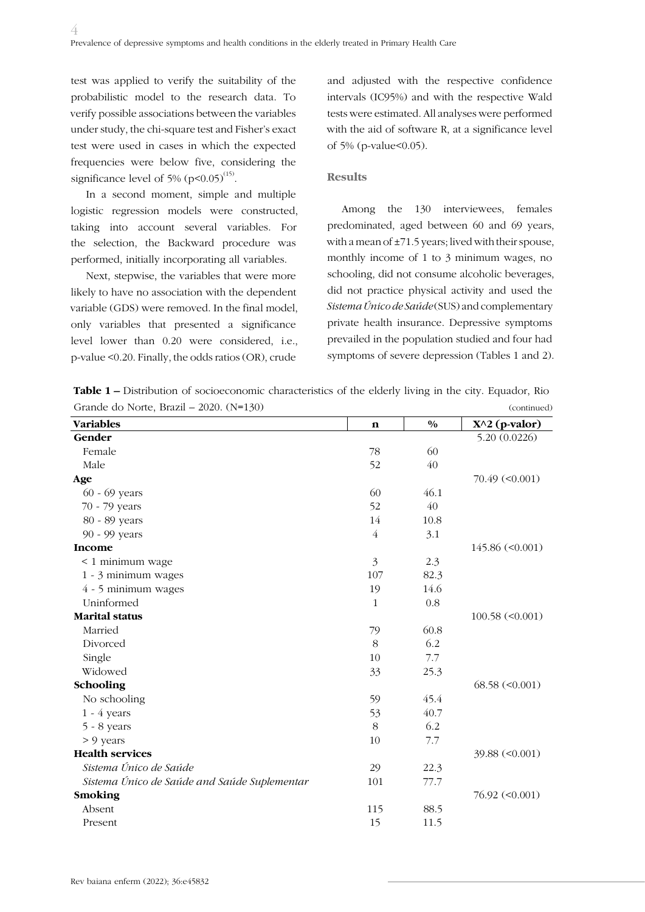test was applied to verify the suitability of the probabilistic model to the research data. To verify possible associations between the variables under study, the chi-square test and Fisher's exact test were used in cases in which the expected frequencies were below five, considering the significance level of 5%  $(p<0.05)^{(15)}$ .

In a second moment, simple and multiple logistic regression models were constructed, taking into account several variables. For the selection, the Backward procedure was performed, initially incorporating all variables.

Next, stepwise, the variables that were more likely to have no association with the dependent variable (GDS) were removed. In the final model, only variables that presented a significance level lower than 0.20 were considered, i.e., p-value <0.20. Finally, the odds ratios (OR), crude

and adjusted with the respective confidence intervals (IC95%) and with the respective Wald tests were estimated. All analyses were performed with the aid of software R, at a significance level of 5% (p-value<0.05).

#### **Results**

Among the 130 interviewees, females predominated, aged between 60 and 69 years, with a mean of  $\pm$ 71.5 years; lived with their spouse, monthly income of 1 to 3 minimum wages, no schooling, did not consume alcoholic beverages, did not practice physical activity and used the *Sistema Único de Saúde* (SUS) and complementary private health insurance. Depressive symptoms prevailed in the population studied and four had symptoms of severe depression (Tables 1 and 2).

**Table 1 –** Distribution of socioeconomic characteristics of the elderly living in the city. Equador, Rio Grande do Norte, Brazil – 2020. (N=130) (continued)

| <b>Variables</b>                             | n              | $\frac{0}{0}$ | $X^2$ (p-valor)               |
|----------------------------------------------|----------------|---------------|-------------------------------|
| Gender                                       |                |               | 5.20 (0.0226)                 |
| Female                                       | 78             | 60            |                               |
| Male                                         | 52             | 40            |                               |
| Age                                          |                |               | $70.49 \left( <0.001 \right)$ |
| 60 - 69 years                                | 60             | 46.1          |                               |
| 70 - 79 years                                | 52             | 40            |                               |
| 80 - 89 years                                | 14             | 10.8          |                               |
| 90 - 99 years                                | $\overline{4}$ | 3.1           |                               |
| Income                                       |                |               | $145.86 \; (<0.001)$          |
| < 1 minimum wage                             | 3              | 2.3           |                               |
| 1 - 3 minimum wages                          | 107            | 82.3          |                               |
| 4 - 5 minimum wages                          | 19             | 14.6          |                               |
| Uninformed                                   | $\mathbf{1}$   | 0.8           |                               |
| <b>Marital status</b>                        |                |               | $100.58 \; (<0.001)$          |
| Married                                      | 79             | 60.8          |                               |
| Divorced                                     | 8              | 6.2           |                               |
| Single                                       | 10             | 7.7           |                               |
| Widowed                                      | 33             | 25.3          |                               |
| Schooling                                    |                |               | $68.58 \; (<0.001)$           |
| No schooling                                 | 59             | 45.4          |                               |
| $1 - 4$ years                                | 53             | 40.7          |                               |
| $5 - 8$ years                                | 8              | 6.2           |                               |
| > 9 years                                    | 10             | 7.7           |                               |
| <b>Health services</b>                       |                |               | 39.88 (< 0.001)               |
| Sistema Único de Saúde                       | 29             | 22.3          |                               |
| Sistema Único de Saúde and Saúde Suplementar | 101            | 77.7          |                               |
| Smoking                                      |                |               | $76.92 \left( <0.001 \right)$ |
| Absent                                       | 115            | 88.5          |                               |
| Present                                      | 15             | 11.5          |                               |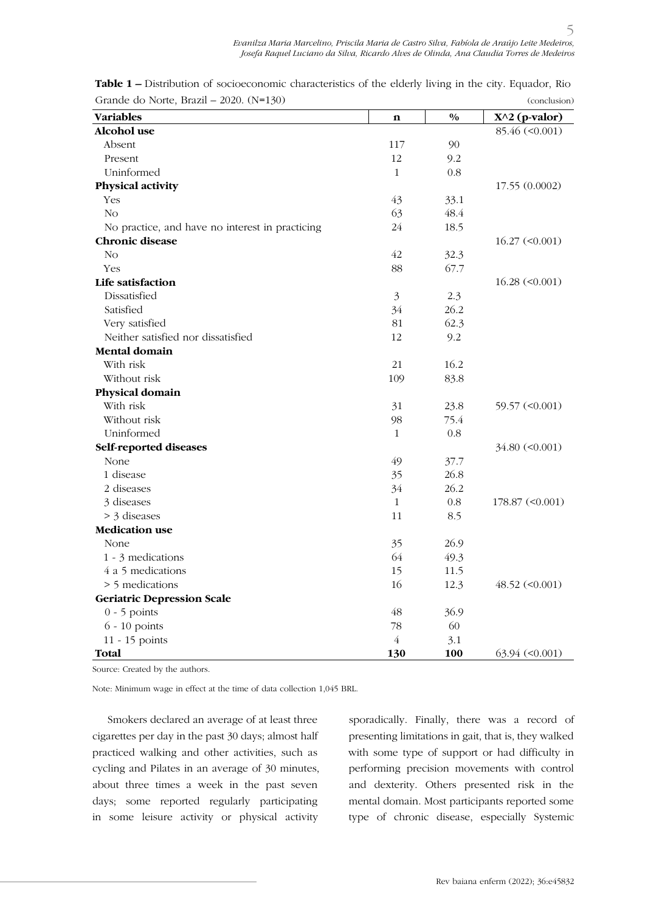| Grande do ivorte, brazil – 2020. $(18-130)$     |                |               | (conclusion)                  |
|-------------------------------------------------|----------------|---------------|-------------------------------|
| <b>Variables</b>                                | $\mathbf n$    | $\frac{0}{0}$ | $X^2$ (p-valor)               |
| Alcohol use                                     |                |               | 85.46 (< 0.001)               |
| Absent                                          | 117            | 90            |                               |
| Present                                         | 12             | 9.2           |                               |
| Uninformed                                      | $\mathbf{1}$   | 0.8           |                               |
| Physical activity                               |                |               | 17.55 (0.0002)                |
| Yes                                             | 43             | 33.1          |                               |
| No                                              | 63             | 48.4          |                               |
| No practice, and have no interest in practicing | 24             | 18.5          |                               |
| <b>Chronic disease</b>                          |                |               | $16.27 \; (<0.001)$           |
| No                                              | 42             | 32.3          |                               |
| Yes                                             | 88             | 67.7          |                               |
| Life satisfaction                               |                |               | $16.28 \; (<0.001)$           |
| Dissatisfied                                    | $\mathfrak{Z}$ | 2.3           |                               |
| Satisfied                                       | 34             | 26.2          |                               |
| Very satisfied                                  | 81             | 62.3          |                               |
| Neither satisfied nor dissatisfied              | 12             | 9.2           |                               |
| <b>Mental domain</b>                            |                |               |                               |
| With risk                                       | 21             | 16.2          |                               |
| Without risk                                    | 109            | 83.8          |                               |
| Physical domain                                 |                |               |                               |
| With risk                                       | 31             | 23.8          | 59.57 (< 0.001)               |
| Without risk                                    | 98             | 75.4          |                               |
| Uninformed                                      | $\mathbf{1}$   | 0.8           |                               |
| Self-reported diseases                          |                |               | $34.80 \ (0.001)$             |
| None                                            | 49             | 37.7          |                               |
| 1 disease                                       | 35             | 26.8          |                               |
| 2 diseases                                      | 34             | 26.2          |                               |
| 3 diseases                                      | $\mathbf{1}$   | 0.8           | $178.87 \; (<0.001)$          |
| > 3 diseases                                    | 11             | 8.5           |                               |
| <b>Medication use</b>                           |                |               |                               |
| None                                            | 35             | 26.9          |                               |
| 1 - 3 medications                               | 64             | 49.3          |                               |
| 4 a 5 medications                               | 15             | 11.5          |                               |
| > 5 medications                                 | 16             | 12.3          | $48.52 \; (<0.001)$           |
| <b>Geriatric Depression Scale</b>               |                |               |                               |
| $0 - 5$ points                                  | 48             | 36.9          |                               |
| $6 - 10$ points                                 | 78             | 60            |                               |
| 11 - 15 points                                  | $\overline{4}$ | 3.1           |                               |
| Total                                           | 130            | 100           | $63.94 \left( <0.001 \right)$ |

**Table 1 –** Distribution of socioeconomic characteristics of the elderly living in the city. Equador, Rio Grande do Norte, Brazil – 2020. (N=130)  $(1-x)$ 

Source: Created by the authors.

Note: Minimum wage in effect at the time of data collection 1,045 BRL.

Smokers declared an average of at least three cigarettes per day in the past 30 days; almost half practiced walking and other activities, such as cycling and Pilates in an average of 30 minutes, about three times a week in the past seven days; some reported regularly participating in some leisure activity or physical activity

sporadically. Finally, there was a record of presenting limitations in gait, that is, they walked with some type of support or had difficulty in performing precision movements with control and dexterity. Others presented risk in the mental domain. Most participants reported some type of chronic disease, especially Systemic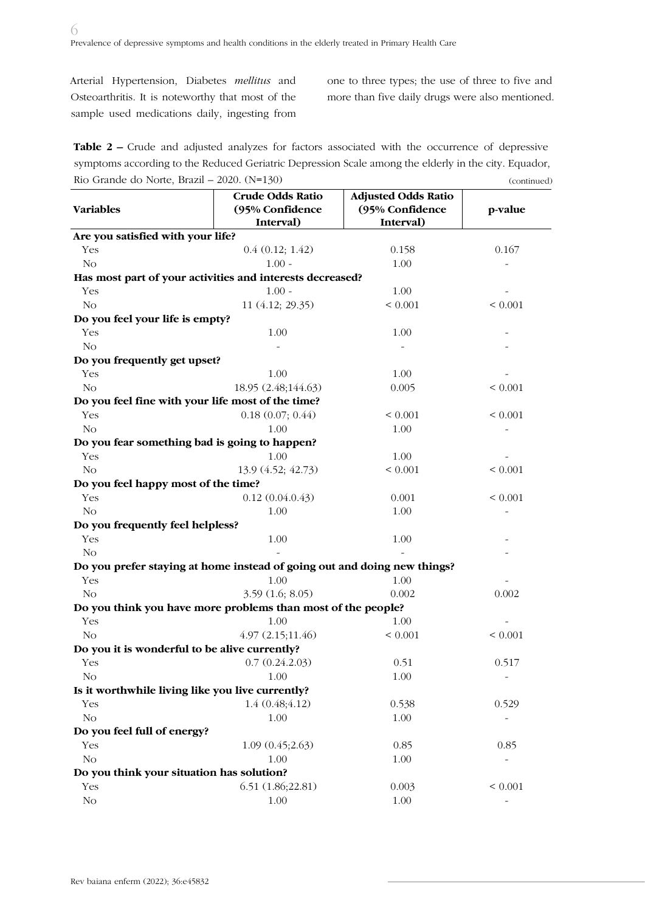Arterial Hypertension, Diabetes *mellitus* and Osteoarthritis. It is noteworthy that most of the sample used medications daily, ingesting from one to three types; the use of three to five and more than five daily drugs were also mentioned.

Table 2 – Crude and adjusted analyzes for factors associated with the occurrence of depressive symptoms according to the Reduced Geriatric Depression Scale among the elderly in the city. Equador, Rio Grande do Norte, Brazil – 2020. (N=130) (continued)

|                                                                          | <b>Crude Odds Ratio</b> | <b>Adjusted Odds Ratio</b> |                          |
|--------------------------------------------------------------------------|-------------------------|----------------------------|--------------------------|
| <b>Variables</b>                                                         | (95% Confidence         | (95% Confidence            | p-value                  |
|                                                                          | Interval)               | Interval)                  |                          |
| Are you satisfied with your life?                                        |                         |                            |                          |
| Yes                                                                      | 0.4(0.12; 1.42)         | 0.158                      | 0.167                    |
| No                                                                       | $1.00 -$                | 1.00                       |                          |
| Has most part of your activities and interests decreased?                |                         |                            |                          |
| Yes                                                                      | $1.00 -$                | 1.00                       | $\overline{\phantom{a}}$ |
| No                                                                       | 11 (4.12; 29.35)        | ${}< 0.001$                | ${}< 0.001$              |
| Do you feel your life is empty?                                          |                         |                            |                          |
| Yes                                                                      | 1.00                    | 1.00                       |                          |
| No                                                                       |                         |                            |                          |
| Do you frequently get upset?                                             |                         |                            |                          |
| Yes                                                                      | 1.00                    | 1.00                       |                          |
| No                                                                       | 18.95 (2.48;144.63)     | 0.005                      | ${}< 0.001$              |
| Do you feel fine with your life most of the time?                        |                         |                            |                          |
| Yes                                                                      | 0.18(0.07; 0.44)        | ${}< 0.001$                | ${}< 0.001$              |
| No                                                                       | 1.00                    | 1.00                       |                          |
| Do you fear something bad is going to happen?                            |                         |                            |                          |
| Yes                                                                      | 1.00                    | 1.00                       |                          |
| No                                                                       | 13.9 (4.52; 42.73)      | ${}< 0.001$                | ${}< 0.001$              |
| Do you feel happy most of the time?                                      |                         |                            |                          |
| Yes                                                                      | 0.12(0.04.0.43)         | 0.001                      | ${}< 0.001$              |
| No                                                                       | 1.00                    | 1.00                       |                          |
| Do you frequently feel helpless?                                         |                         |                            |                          |
| Yes                                                                      | 1.00                    | 1.00                       |                          |
| No                                                                       |                         |                            |                          |
| Do you prefer staying at home instead of going out and doing new things? |                         |                            |                          |
| Yes                                                                      | 1.00                    | 1.00                       |                          |
| N <sub>O</sub>                                                           | 3.59(1.6; 8.05)         | 0.002                      | 0.002                    |
| Do you think you have more problems than most of the people?             |                         |                            |                          |
| Yes                                                                      | 1.00                    | 1.00                       |                          |
| No                                                                       | 4.97(2.15;11.46)        | ${}< 0.001$                | ${}< 0.001$              |
| Do you it is wonderful to be alive currently?                            |                         |                            |                          |
| Yes                                                                      | 0.7(0.24.2.03)          | 0.51                       | 0.517                    |
| No                                                                       | 1.00                    | $1.00\,$                   |                          |
| Is it worthwhile living like you live currently?                         |                         |                            |                          |
| Yes                                                                      | 1.4(0.48; 4.12)         | 0.538                      | 0.529                    |
| No                                                                       | 1.00                    | 1.00                       |                          |
| Do you feel full of energy?                                              |                         |                            |                          |
| Yes                                                                      | 1.09(0.45;2.63)         | 0.85                       | 0.85                     |
| No                                                                       | 1.00                    | 1.00                       |                          |
| Do you think your situation has solution?                                |                         |                            |                          |
| Yes                                                                      | 6.51(1.86;22.81)        | 0.003                      | ${}< 0.001$              |
| No                                                                       | 1.00                    | 1.00                       |                          |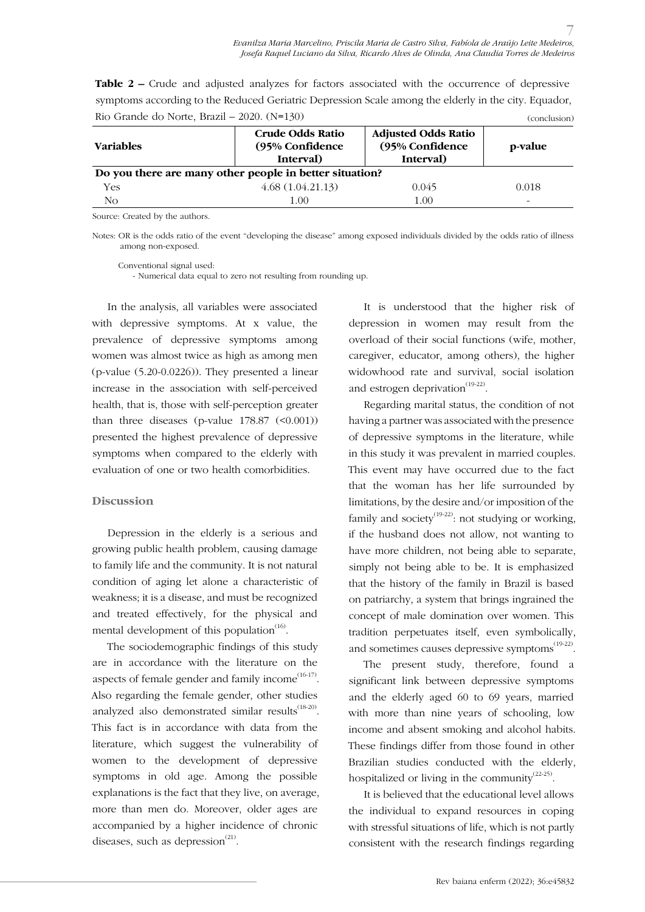| <b>Table 2 –</b> Crude and adjusted analyzes for factors associated with the occurrence of depressive |              |
|-------------------------------------------------------------------------------------------------------|--------------|
| symptoms according to the Reduced Geriatric Depression Scale among the elderly in the city. Equador,  |              |
| Rio Grande do Norte, Brazil - $2020.$ (N=130)                                                         | (conclusion) |

| <b>Variables</b>                                        | <b>Crude Odds Ratio</b><br>(95% Confidence<br>Interval) | <b>Adjusted Odds Ratio</b><br>(95% Confidence<br>Interval) | p-value                  |
|---------------------------------------------------------|---------------------------------------------------------|------------------------------------------------------------|--------------------------|
| Do you there are many other people in better situation? |                                                         |                                                            |                          |
| <b>Yes</b>                                              | 4.68(1.04.21.13)                                        | 0.045                                                      | 0.018                    |
| No                                                      | 1.00                                                    | 1.00                                                       | $\overline{\phantom{a}}$ |

Source: Created by the authors.

Notes: OR is the odds ratio of the event "developing the disease" among exposed individuals divided by the odds ratio of illness among non-exposed.

Conventional signal used: - Numerical data equal to zero not resulting from rounding up.

In the analysis, all variables were associated with depressive symptoms. At x value, the prevalence of depressive symptoms among women was almost twice as high as among men (p-value (5.20-0.0226)). They presented a linear increase in the association with self-perceived health, that is, those with self-perception greater than three diseases (p-value  $178.87$  (<0.001)) presented the highest prevalence of depressive symptoms when compared to the elderly with evaluation of one or two health comorbidities.

#### **Discussion**

Depression in the elderly is a serious and growing public health problem, causing damage to family life and the community. It is not natural condition of aging let alone a characteristic of weakness; it is a disease, and must be recognized and treated effectively, for the physical and mental development of this population $(16)$ .

The sociodemographic findings of this study are in accordance with the literature on the aspects of female gender and family income $^{(16-17)}$ . Also regarding the female gender, other studies analyzed also demonstrated similar results $^{(18-20)}$ . This fact is in accordance with data from the literature, which suggest the vulnerability of women to the development of depressive symptoms in old age. Among the possible explanations is the fact that they live, on average, more than men do. Moreover, older ages are accompanied by a higher incidence of chronic diseases, such as depression $(21)$ .

It is understood that the higher risk of depression in women may result from the overload of their social functions (wife, mother, caregiver, educator, among others), the higher widowhood rate and survival, social isolation and estrogen deprivation $(19-22)$ .

Regarding marital status, the condition of not having a partner was associated with the presence of depressive symptoms in the literature, while in this study it was prevalent in married couples. This event may have occurred due to the fact that the woman has her life surrounded by limitations, by the desire and/or imposition of the family and society<sup>(19-22)</sup>: not studying or working, if the husband does not allow, not wanting to have more children, not being able to separate, simply not being able to be. It is emphasized that the history of the family in Brazil is based on patriarchy, a system that brings ingrained the concept of male domination over women. This tradition perpetuates itself, even symbolically, and sometimes causes depressive symptoms<sup>(19-22)</sup>.

The present study, therefore, found a significant link between depressive symptoms and the elderly aged 60 to 69 years, married with more than nine years of schooling, low income and absent smoking and alcohol habits. These findings differ from those found in other Brazilian studies conducted with the elderly, hospitalized or living in the community<sup> $(22-25)$ </sup>.

It is believed that the educational level allows the individual to expand resources in coping with stressful situations of life, which is not partly consistent with the research findings regarding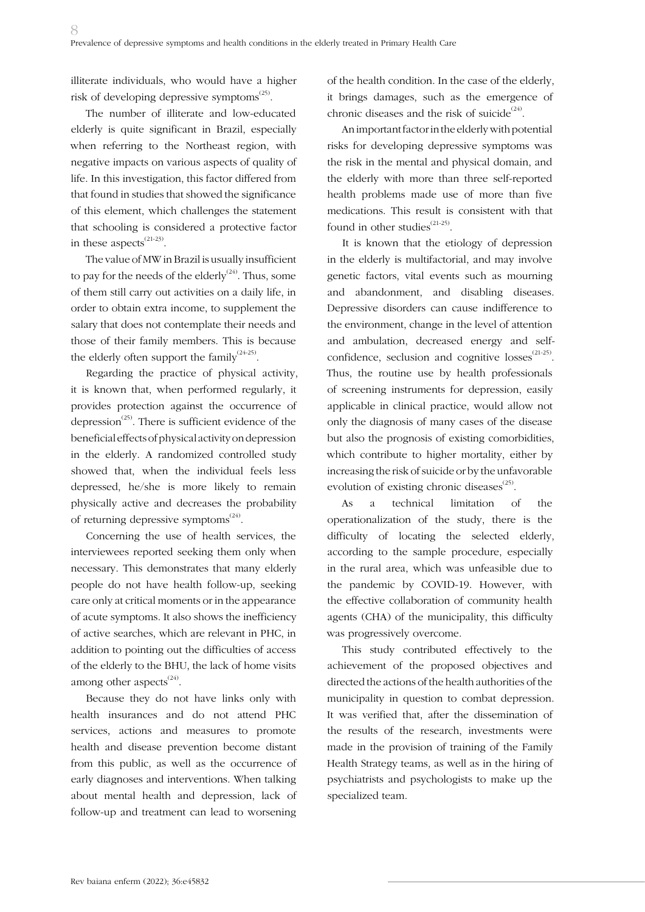illiterate individuals, who would have a higher risk of developing depressive symptoms $^{(25)}$ .

The number of illiterate and low-educated elderly is quite significant in Brazil, especially when referring to the Northeast region, with negative impacts on various aspects of quality of life. In this investigation, this factor differed from that found in studies that showed the significance of this element, which challenges the statement that schooling is considered a protective factor in these aspects $^{(21-23)}$ .

The value of MW in Brazil is usually insufficient to pay for the needs of the elderly<sup> $(24)$ </sup>. Thus, some of them still carry out activities on a daily life, in order to obtain extra income, to supplement the salary that does not contemplate their needs and those of their family members. This is because the elderly often support the family<sup> $(24-25)$ </sup>.

Regarding the practice of physical activity, it is known that, when performed regularly, it provides protection against the occurrence of depression<sup> $(25)$ </sup>. There is sufficient evidence of the beneficial effects of physical activity on depression in the elderly. A randomized controlled study showed that, when the individual feels less depressed, he/she is more likely to remain physically active and decreases the probability of returning depressive symptoms $^{(24)}$ .

Concerning the use of health services, the interviewees reported seeking them only when necessary. This demonstrates that many elderly people do not have health follow-up, seeking care only at critical moments or in the appearance of acute symptoms. It also shows the inefficiency of active searches, which are relevant in PHC, in addition to pointing out the difficulties of access of the elderly to the BHU, the lack of home visits among other aspects $^{(24)}$ .

Because they do not have links only with health insurances and do not attend PHC services, actions and measures to promote health and disease prevention become distant from this public, as well as the occurrence of early diagnoses and interventions. When talking about mental health and depression, lack of follow-up and treatment can lead to worsening of the health condition. In the case of the elderly, it brings damages, such as the emergence of chronic diseases and the risk of suicide<sup> $(24)$ </sup>.

An important factor in the elderly with potential risks for developing depressive symptoms was the risk in the mental and physical domain, and the elderly with more than three self-reported health problems made use of more than five medications. This result is consistent with that found in other studies<sup>(21-25)</sup>.

It is known that the etiology of depression in the elderly is multifactorial, and may involve genetic factors, vital events such as mourning and abandonment, and disabling diseases. Depressive disorders can cause indifference to the environment, change in the level of attention and ambulation, decreased energy and selfconfidence, seclusion and cognitive  $losses^{(21-25)}$ . Thus, the routine use by health professionals of screening instruments for depression, easily applicable in clinical practice, would allow not only the diagnosis of many cases of the disease but also the prognosis of existing comorbidities, which contribute to higher mortality, either by increasing the risk of suicide or by the unfavorable evolution of existing chronic diseases<sup>(25)</sup>.

As a technical limitation of the operationalization of the study, there is the difficulty of locating the selected elderly, according to the sample procedure, especially in the rural area, which was unfeasible due to the pandemic by COVID-19. However, with the effective collaboration of community health agents (CHA) of the municipality, this difficulty was progressively overcome.

This study contributed effectively to the achievement of the proposed objectives and directed the actions of the health authorities of the municipality in question to combat depression. It was verified that, after the dissemination of the results of the research, investments were made in the provision of training of the Family Health Strategy teams, as well as in the hiring of psychiatrists and psychologists to make up the specialized team.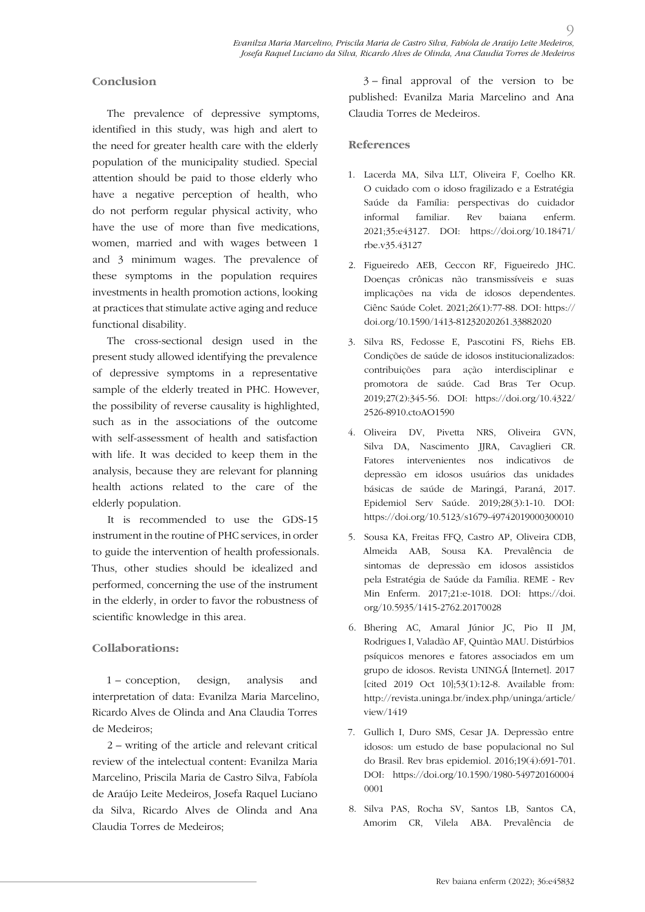### **Conclusion**

The prevalence of depressive symptoms, identified in this study, was high and alert to the need for greater health care with the elderly population of the municipality studied. Special attention should be paid to those elderly who have a negative perception of health, who do not perform regular physical activity, who have the use of more than five medications, women, married and with wages between 1 and 3 minimum wages. The prevalence of these symptoms in the population requires investments in health promotion actions, looking at practices that stimulate active aging and reduce functional disability.

The cross-sectional design used in the present study allowed identifying the prevalence of depressive symptoms in a representative sample of the elderly treated in PHC. However, the possibility of reverse causality is highlighted, such as in the associations of the outcome with self-assessment of health and satisfaction with life. It was decided to keep them in the analysis, because they are relevant for planning health actions related to the care of the elderly population.

It is recommended to use the GDS-15 instrument in the routine of PHC services, in order to guide the intervention of health professionals. Thus, other studies should be idealized and performed, concerning the use of the instrument in the elderly, in order to favor the robustness of scientific knowledge in this area.

## **Collaborations:**

1 – conception, design, analysis and interpretation of data: Evanilza Maria Marcelino, Ricardo Alves de Olinda and Ana Claudia Torres de Medeiros;

2 – writing of the article and relevant critical review of the intelectual content: Evanilza Maria Marcelino, Priscila Maria de Castro Silva, Fabíola de Araújo Leite Medeiros, Josefa Raquel Luciano da Silva, Ricardo Alves de Olinda and Ana Claudia Torres de Medeiros;

3 – final approval of the version to be published: Evanilza Maria Marcelino and Ana Claudia Torres de Medeiros.

 $\overline{O}$ 

### **References**

- 1. Lacerda MA, Silva LLT, Oliveira F, Coelho KR. O cuidado com o idoso fragilizado e a Estratégia Saúde da Família: perspectivas do cuidador informal familiar. Rev baiana enferm. 2021;35:e43127. DOI: https://doi.org/10.18471/ rbe.v35.43127
- 2. Figueiredo AEB, Ceccon RF, Figueiredo JHC. Doenças crônicas não transmissíveis e suas implicações na vida de idosos dependentes. Ciênc Saúde Colet. 2021;26(1):77-88. DOI: https:// doi.org/10.1590/1413-81232020261.33882020
- 3. Silva RS, Fedosse E, Pascotini FS, Riehs EB. Condições de saúde de idosos institucionalizados: contribuições para ação interdisciplinar e promotora de saúde. Cad Bras Ter Ocup. 2019;27(2):345-56. DOI: https://doi.org/10.4322/ 2526-8910.ctoAO1590
- 4. Oliveira DV, Pivetta NRS, Oliveira GVN, Silva DA, Nascimento JJRA, Cavaglieri CR. Fatores intervenientes nos indicativos de depressão em idosos usuários das unidades básicas de saúde de Maringá, Paraná, 2017. Epidemiol Serv Saúde. 2019;28(3):1-10. DOI: https://doi.org/10.5123/s1679-49742019000300010
- 5. Sousa KA, Freitas FFQ, Castro AP, Oliveira CDB, Almeida AAB, Sousa KA. Prevalência de sintomas de depressão em idosos assistidos pela Estratégia de Saúde da Família. REME - Rev Min Enferm. 2017;21:e-1018. DOI: https://doi. org/10.5935/1415-2762.20170028
- 6. Bhering AC, Amaral Júnior JC, Pio II JM, Rodrigues I, Valadão AF, Quintão MAU. Distúrbios psíquicos menores e fatores associados em um grupo de idosos. Revista UNINGÁ [Internet]. 2017 [cited 2019 Oct 10];53(1):12-8. Available from: http://revista.uninga.br/index.php/uninga/article/ view/1419
- 7. Gullich I, Duro SMS, Cesar JA. Depressão entre idosos: um estudo de base populacional no Sul do Brasil. Rev bras epidemiol. 2016;19(4):691-701. DOI: https://doi.org/10.1590/1980-549720160004 0001
- 8. Silva PAS, Rocha SV, Santos LB, Santos CA, Amorim CR, Vilela ABA. Prevalência de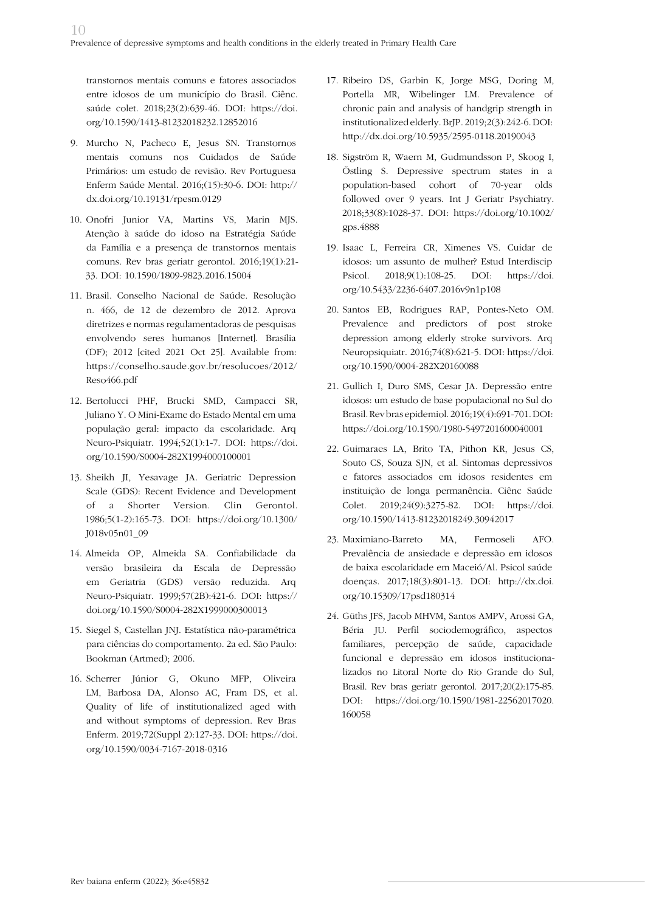transtornos mentais comuns e fatores associados entre idosos de um município do Brasil. Ciênc. saúde colet. 2018;23(2):639-46. DOI: https://doi. org/10.1590/1413-81232018232.12852016

- 9. Murcho N, Pacheco E, Jesus SN. Transtornos mentais comuns nos Cuidados de Saúde Primários: um estudo de revisão. Rev Portuguesa Enferm Saúde Mental. 2016;(15):30-6. DOI: http:// dx.doi.org/10.19131/rpesm.0129
- 10. Onofri Junior VA, Martins VS, Marin MJS. Atenção à saúde do idoso na Estratégia Saúde da Família e a presença de transtornos mentais comuns. Rev bras geriatr gerontol. 2016;19(1):21- 33. DOI: 10.1590/1809-9823.2016.15004
- 11. Brasil. Conselho Nacional de Saúde. Resolução n. 466, de 12 de dezembro de 2012. Aprova diretrizes e normas regulamentadoras de pesquisas envolvendo seres humanos [Internet]. Brasília (DF); 2012 [cited 2021 Oct 25]. Available from: https://conselho.saude.gov.br/resolucoes/2012/ Reso466.pdf
- 12. Bertolucci PHF, Brucki SMD, Campacci SR, Juliano Y. O Mini-Exame do Estado Mental em uma população geral: impacto da escolaridade. Arq Neuro-Psiquiatr. 1994;52(1):1-7. DOI: https://doi. org/10.1590/S0004-282X1994000100001
- 13. Sheikh JI, Yesavage JA. Geriatric Depression Scale (GDS): Recent Evidence and Development of a Shorter Version. Clin Gerontol. 1986;5(1-2):165-73. DOI: https://doi.org/10.1300/ J018v05n01\_09
- 14. Almeida OP, Almeida SA. Confiabilidade da versão brasileira da Escala de Depressão em Geriatria (GDS) versão reduzida. Arq Neuro-Psiquiatr. 1999;57(2B):421-6. DOI: https:// doi.org/10.1590/S0004-282X1999000300013
- 15. Siegel S, Castellan JNJ. Estatística não-paramétrica para ciências do comportamento. 2a ed. São Paulo: Bookman (Artmed); 2006.
- 16. Scherrer Júnior G, Okuno MFP, Oliveira LM, Barbosa DA, Alonso AC, Fram DS, et al. Quality of life of institutionalized aged with and without symptoms of depression. Rev Bras Enferm. 2019;72(Suppl 2):127-33. DOI: https://doi. org/10.1590/0034-7167-2018-0316
- 17. Ribeiro DS, Garbin K, Jorge MSG, Doring M, Portella MR, Wibelinger LM. Prevalence of chronic pain and analysis of handgrip strength in institutionalized elderly. BrJP. 2019;2(3):242-6. DOI: http://dx.doi.org/10.5935/2595-0118.20190043
- 18. Sigström R, Waern M, Gudmundsson P, Skoog I, Östling S. Depressive spectrum states in a population-based cohort of 70-year olds followed over 9 years. Int J Geriatr Psychiatry. 2018;33(8):1028-37. DOI: https://doi.org/10.1002/ gps.4888
- 19. Isaac L, Ferreira CR, Ximenes VS. Cuidar de idosos: um assunto de mulher? Estud Interdiscip Psicol. 2018;9(1):108-25. DOI: https://doi. org/10.5433/2236-6407.2016v9n1p108
- 20. Santos EB, Rodrigues RAP, Pontes-Neto OM. Prevalence and predictors of post stroke depression among elderly stroke survivors. Arq Neuropsiquiatr. 2016;74(8):621-5. DOI: https://doi. org/10.1590/0004-282X20160088
- 21. Gullich I, Duro SMS, Cesar JA. Depressão entre idosos: um estudo de base populacional no Sul do Brasil. Rev bras epidemiol. 2016;19(4):691-701. DOI: https://doi.org/10.1590/1980-5497201600040001
- 22. Guimaraes LA, Brito TA, Pithon KR, Jesus CS, Souto CS, Souza SJN, et al. Sintomas depressivos e fatores associados em idosos residentes em instituição de longa permanência. Ciênc Saúde Colet. 2019;24(9):3275-82. DOI: https://doi. org/10.1590/1413-81232018249.30942017
- 23. Maximiano-Barreto MA, Fermoseli AFO. Prevalência de ansiedade e depressão em idosos de baixa escolaridade em Maceió/Al. Psicol saúde doenças. 2017;18(3):801-13. DOI: http://dx.doi. org/10.15309/17psd180314
- 24. Güths JFS, Jacob MHVM, Santos AMPV, Arossi GA, Béria JU. Perfil sociodemográfico, aspectos familiares, percepção de saúde, capacidade funcional e depressão em idosos institucionalizados no Litoral Norte do Rio Grande do Sul, Brasil. Rev bras geriatr gerontol. 2017;20(2):175-85. DOI: https://doi.org/10.1590/1981-22562017020. 160058